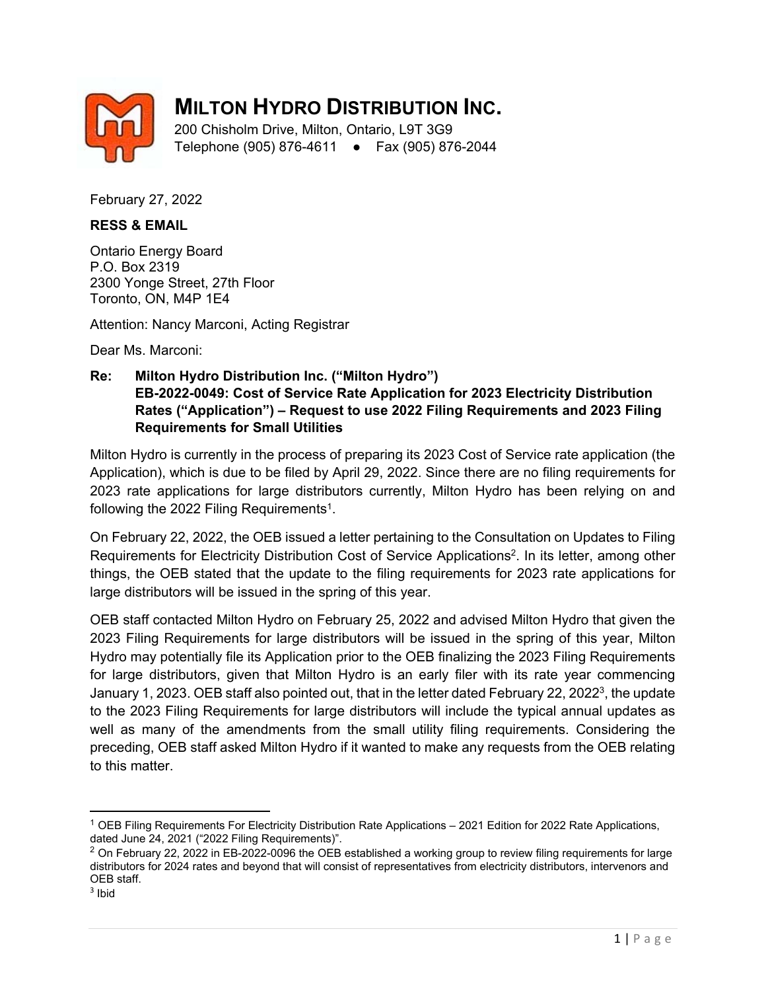

## **MILTON HYDRO DISTRIBUTION INC.**

200 Chisholm Drive, Milton, Ontario, L9T 3G9 Telephone (905) 876-4611 ● Fax (905) 876-2044

February 27, 2022

## **RESS & EMAIL**

Ontario Energy Board P.O. Box 2319 2300 Yonge Street, 27th Floor Toronto, ON, M4P 1E4

Attention: Nancy Marconi, Acting Registrar

Dear Ms. Marconi:

**Re: Milton Hydro Distribution Inc. ("Milton Hydro") EB-2022-0049: Cost of Service Rate Application for 2023 Electricity Distribution Rates ("Application") – Request to use 2022 Filing Requirements and 2023 Filing Requirements for Small Utilities** 

Milton Hydro is currently in the process of preparing its 2023 Cost of Service rate application (the Application), which is due to be filed by April 29, 2022. Since there are no filing requirements for 2023 rate applications for large distributors currently, Milton Hydro has been relying on and following the 2022 Filing Requirements<sup>1</sup>.

On February 22, 2022, the OEB issued a letter pertaining to the Consultation on Updates to Filing Requirements for Electricity Distribution Cost of Service Applications<sup>2</sup>. In its letter, among other things, the OEB stated that the update to the filing requirements for 2023 rate applications for large distributors will be issued in the spring of this year.

OEB staff contacted Milton Hydro on February 25, 2022 and advised Milton Hydro that given the 2023 Filing Requirements for large distributors will be issued in the spring of this year, Milton Hydro may potentially file its Application prior to the OEB finalizing the 2023 Filing Requirements for large distributors, given that Milton Hydro is an early filer with its rate year commencing January 1, 2023. OEB staff also pointed out, that in the letter dated February 22, 20223, the update to the 2023 Filing Requirements for large distributors will include the typical annual updates as well as many of the amendments from the small utility filing requirements. Considering the preceding, OEB staff asked Milton Hydro if it wanted to make any requests from the OEB relating to this matter.

<sup>1</sup> OEB Filing Requirements For Electricity Distribution Rate Applications – 2021 Edition for 2022 Rate Applications, dated June 24, 2021 ("2022 Filing Requirements)".

 $2$  On February 22, 2022 in EB-2022-0096 the OEB established a working group to review filing requirements for large distributors for 2024 rates and beyond that will consist of representatives from electricity distributors, intervenors and OEB staff.

 $3$  Ibid